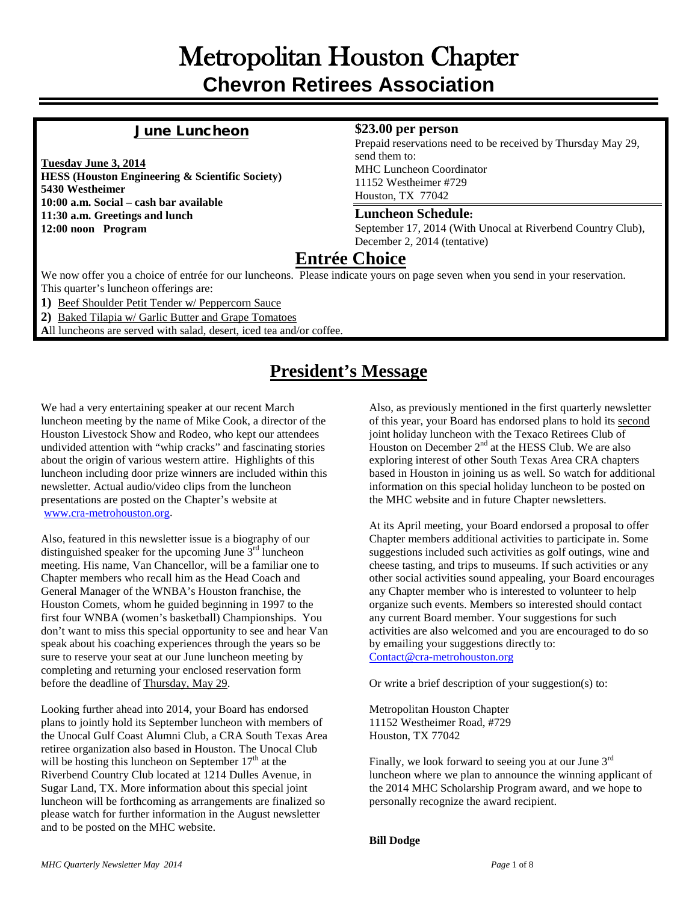# Metropolitan Houston Chapter **Chevron Retirees Association**

#### June Luncheon

**Tuesday June 3, 2014 HESS (Houston Engineering & Scientific Society) 5430 Westheimer 10:00 a.m. Social – cash bar available 11:30 a.m. Greetings and lunch 12:00 noon Program**

#### **\$23.00 per person**

Prepaid reservations need to be received by Thursday May 29, send them to: MHC Luncheon Coordinator 11152 Westheimer #729 Houston, TX 77042

#### **Luncheon Schedule:**

September 17, 2014 (With Unocal at Riverbend Country Club), December 2, 2014 (tentative)

## **Entrée Choice**

We now offer you a choice of entrée for our luncheons. Please indicate yours on page seven when you send in your reservation. This quarter's luncheon offerings are:

**1)** Beef Shoulder Petit Tender w/ Peppercorn Sauce

**2)** Baked Tilapia w/ Garlic Butter and Grape Tomatoes

**A**ll luncheons are served with salad, desert, iced tea and/or coffee.

## **President's Message**

We had a very entertaining speaker at our recent March luncheon meeting by the name of Mike Cook, a director of the Houston Livestock Show and Rodeo, who kept our attendees undivided attention with "whip cracks" and fascinating stories about the origin of various western attire. Highlights of this luncheon including door prize winners are included within this newsletter. Actual audio/video clips from the luncheon presentations are posted on the Chapter's website at [www.cra-metrohouston.org.](http://www.cra-metrohouston.org/)

Also, featured in this newsletter issue is a biography of our distinguished speaker for the upcoming June  $3<sup>rd</sup>$  luncheon meeting. His name, Van Chancellor, will be a familiar one to Chapter members who recall him as the Head Coach and General Manager of the WNBA's Houston franchise, the Houston Comets, whom he guided beginning in 1997 to the first four WNBA (women's basketball) Championships. You don't want to miss this special opportunity to see and hear Van speak about his coaching experiences through the years so be sure to reserve your seat at our June luncheon meeting by completing and returning your enclosed reservation form before the deadline of Thursday, May 29.

Looking further ahead into 2014, your Board has endorsed plans to jointly hold its September luncheon with members of the Unocal Gulf Coast Alumni Club, a CRA South Texas Area retiree organization also based in Houston. The Unocal Club will be hosting this luncheon on September  $17<sup>th</sup>$  at the Riverbend Country Club located at 1214 Dulles Avenue, in Sugar Land, TX. More information about this special joint luncheon will be forthcoming as arrangements are finalized so please watch for further information in the August newsletter and to be posted on the MHC website.

Also, as previously mentioned in the first quarterly newsletter of this year, your Board has endorsed plans to hold its second joint holiday luncheon with the Texaco Retirees Club of Houston on December  $2<sup>nd</sup>$  at the HESS Club. We are also exploring interest of other South Texas Area CRA chapters based in Houston in joining us as well. So watch for additional information on this special holiday luncheon to be posted on the MHC website and in future Chapter newsletters.

At its April meeting, your Board endorsed a proposal to offer Chapter members additional activities to participate in. Some suggestions included such activities as golf outings, wine and cheese tasting, and trips to museums. If such activities or any other social activities sound appealing, your Board encourages any Chapter member who is interested to volunteer to help organize such events. Members so interested should contact any current Board member. Your suggestions for such activities are also welcomed and you are encouraged to do so by emailing your suggestions directly to: [Contact@cra-metrohouston.org](mailto:Contact@cra-metrohouston.org)

Or write a brief description of your suggestion(s) to:

Metropolitan Houston Chapter 11152 Westheimer Road, #729 Houston, TX 77042

Finally, we look forward to seeing you at our June  $3<sup>rd</sup>$ luncheon where we plan to announce the winning applicant of the 2014 MHC Scholarship Program award, and we hope to personally recognize the award recipient.

#### **Bill Dodge**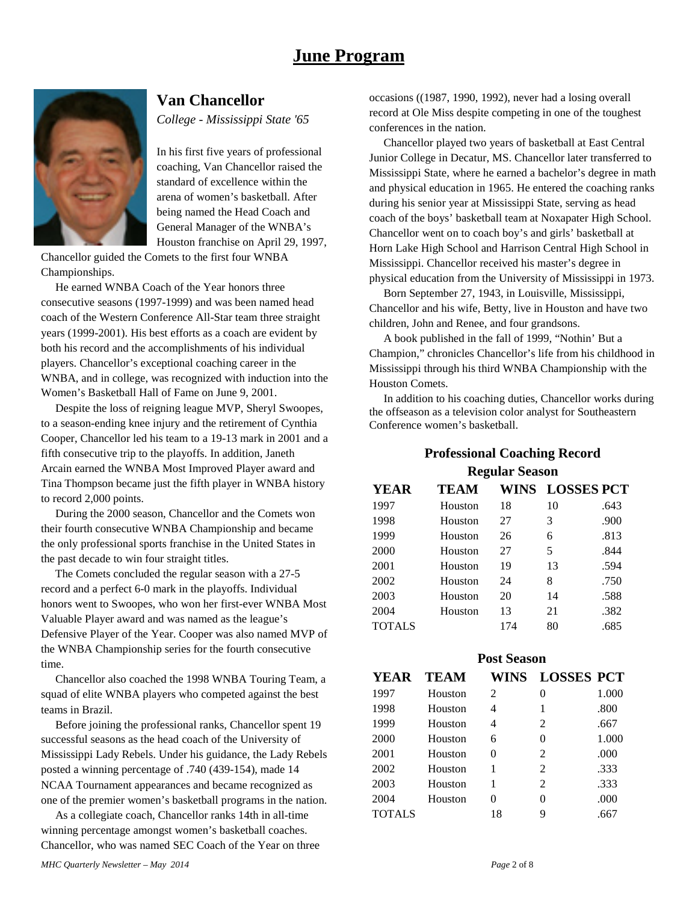## **June Program**



#### **Van Chancellor**

*College - Mississippi State '65*

In his first five years of professional coaching, Van Chancellor raised the standard of excellence within the arena of women's basketball. After being named the Head Coach and General Manager of the WNBA's Houston franchise on April 29, 1997,

Chancellor guided the Comets to the first four WNBA Championships.

 He earned WNBA Coach of the Year honors three consecutive seasons (1997-1999) and was been named head coach of the Western Conference All-Star team three straight years (1999-2001). His best efforts as a coach are evident by both his record and the accomplishments of his individual players. Chancellor's exceptional coaching career in the WNBA, and in college, was recognized with induction into the Women's Basketball Hall of Fame on June 9, 2001.

 Despite the loss of reigning league MVP, Sheryl Swoopes, to a season-ending knee injury and the retirement of Cynthia Cooper, Chancellor led his team to a 19-13 mark in 2001 and a fifth consecutive trip to the playoffs. In addition, Janeth Arcain earned the WNBA Most Improved Player award and Tina Thompson became just the fifth player in WNBA history to record 2,000 points.

 During the 2000 season, Chancellor and the Comets won their fourth consecutive WNBA Championship and became the only professional sports franchise in the United States in the past decade to win four straight titles.

 The Comets concluded the regular season with a 27-5 record and a perfect 6-0 mark in the playoffs. Individual honors went to Swoopes, who won her first-ever WNBA Most Valuable Player award and was named as the league's Defensive Player of the Year. Cooper was also named MVP of the WNBA Championship series for the fourth consecutive time.

 Chancellor also coached the 1998 WNBA Touring Team, a squad of elite WNBA players who competed against the best teams in Brazil.

 Before joining the professional ranks, Chancellor spent 19 successful seasons as the head coach of the University of Mississippi Lady Rebels. Under his guidance, the Lady Rebels posted a winning percentage of .740 (439-154), made 14 NCAA Tournament appearances and became recognized as one of the premier women's basketball programs in the nation.

 As a collegiate coach, Chancellor ranks 14th in all-time winning percentage amongst women's basketball coaches. Chancellor, who was named SEC Coach of the Year on three occasions ((1987, 1990, 1992), never had a losing overall record at Ole Miss despite competing in one of the toughest conferences in the nation.

 Chancellor played two years of basketball at East Central Junior College in Decatur, MS. Chancellor later transferred to Mississippi State, where he earned a bachelor's degree in math and physical education in 1965. He entered the coaching ranks during his senior year at Mississippi State, serving as head coach of the boys' basketball team at Noxapater High School. Chancellor went on to coach boy's and girls' basketball at Horn Lake High School and Harrison Central High School in Mississippi. Chancellor received his master's degree in physical education from the University of Mississippi in 1973.

 Born September 27, 1943, in Louisville, Mississippi, Chancellor and his wife, Betty, live in Houston and have two children, John and Renee, and four grandsons.

 A book published in the fall of 1999, "Nothin' But a Champion," chronicles Chancellor's life from his childhood in Mississippi through his third WNBA Championship with the Houston Comets.

 In addition to his coaching duties, Chancellor works during the offseason as a television color analyst for Southeastern Conference women's basketball.

#### **Professional Coaching Record Regular Season**

| <b>YEAR</b>   | TEAM    |     | WINS LOSSES PCT |      |
|---------------|---------|-----|-----------------|------|
| 1997          | Houston | 18  | 10              | .643 |
| 1998          | Houston | 27  | 3               | .900 |
| 1999          | Houston | 26  | 6               | .813 |
| 2000          | Houston | 27  | 5               | .844 |
| 2001          | Houston | 19  | 13              | .594 |
| 2002          | Houston | 24  | 8               | .750 |
| 2003          | Houston | 20  | 14              | .588 |
| 2004          | Houston | 13  | 21              | .382 |
| <b>TOTALS</b> |         | 174 | 80              | .685 |

|               |             | <b>Post Season</b> |                   |       |
|---------------|-------------|--------------------|-------------------|-------|
| YEAR          | <b>TEAM</b> | <b>WINS</b>        | <b>LOSSES PCT</b> |       |
| 1997          | Houston     | $\mathcal{L}$      | 0                 | 1.000 |
| 1998          | Houston     | 4                  | 1                 | .800  |
| 1999          | Houston     | 4                  | 2                 | .667  |
| 2000          | Houston     | 6                  | 0                 | 1.000 |
| 2001          | Houston     | 0                  | 2                 | .000  |
| 2002          | Houston     | 1                  | $\mathfrak{D}$    | .333  |
| 2003          | Houston     | 1                  | 2                 | .333  |
| 2004          | Houston     | 0                  | 0                 | .000  |
| <b>TOTALS</b> |             | 18                 | 9                 | .667  |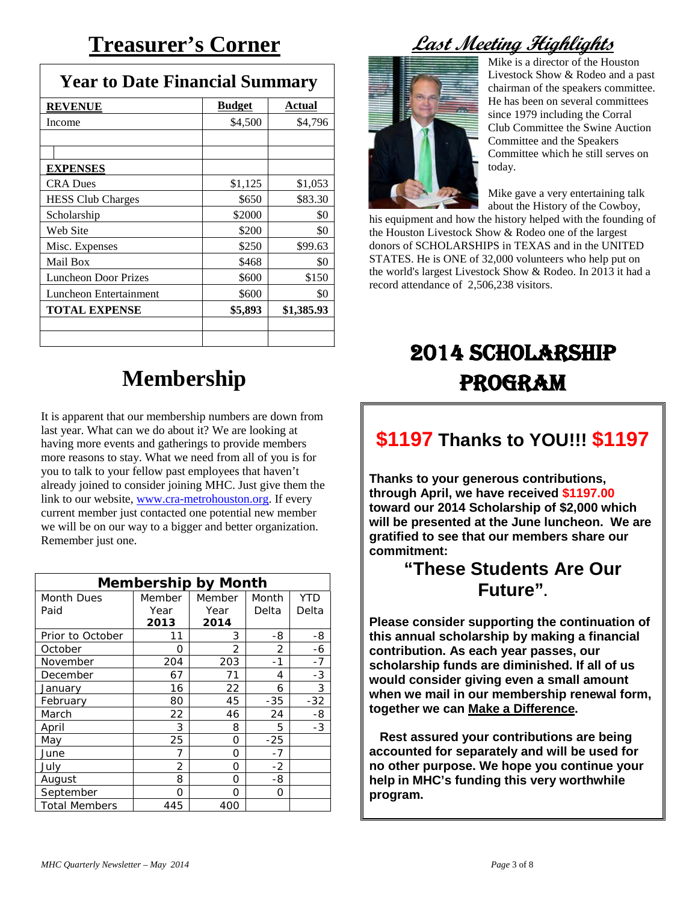# **Treasurer's Corner**

| <b>Year to Date Financial Summary</b> |               |            |  |
|---------------------------------------|---------------|------------|--|
| <b>REVENUE</b>                        | <b>Budget</b> | Actual     |  |
| Income                                | \$4,500       | \$4,796    |  |
|                                       |               |            |  |
| <b>EXPENSES</b>                       |               |            |  |
| <b>CRA Dues</b>                       | \$1,125       | \$1,053    |  |
| <b>HESS Club Charges</b>              | \$650         | \$83.30    |  |
| Scholarship                           | \$2000        | \$0        |  |
| Web Site                              | \$200         | \$0        |  |
| Misc. Expenses                        | \$250         | \$99.63    |  |
| Mail Box                              | \$468         | \$0        |  |
| <b>Luncheon Door Prizes</b>           | \$600         | \$150      |  |
| Luncheon Entertainment                | \$600         | \$0        |  |
| <b>TOTAL EXPENSE</b>                  | \$5,893       | \$1,385.93 |  |
|                                       |               |            |  |

# **Membership**

It is apparent that our membership numbers are down from last year. What can we do about it? We are looking at having more events and gatherings to provide members more reasons to stay. What we need from all of you is for you to talk to your fellow past employees that haven't already joined to consider joining MHC. Just give them the link to our website[, www.cra-metrohouston.org.](http://www.cra-metrohouston.org/) If every current member just contacted one potential new member we will be on our way to a bigger and better organization. Remember just one.

| <b>Membership by Month</b> |        |        |       |       |
|----------------------------|--------|--------|-------|-------|
| <b>Month Dues</b>          | Member | Member | Month | YTD   |
| Paid                       | Year   | Year   | Delta | Delta |
|                            | 2013   | 2014   |       |       |
| Prior to October           | 11     | 3      | -8    | -8    |
| October                    | Ω      | 2      | 2     | -6    |
| November                   | 204    | 203    | -1    | $-7$  |
| December                   | 67     | 71     | 4     | $-3$  |
| January                    | 16     | 22     | 6     | 3     |
| February                   | 80     | 45     | $-35$ | $-32$ |
| March                      | 22     | 46     | 24    | -8    |
| April                      | 3      | 8      | 5     | -3    |
| May                        | 25     | 0      | $-25$ |       |
| June                       | 7      | 0      | $-7$  |       |
| July                       | 2      | Ω      | $-2$  |       |
| August                     | 8      | Ω      | -8    |       |
| September                  | O      | Ω      | O     |       |
| <b>Total Members</b>       | 445    | 400    |       |       |

# **Last Meeting Highlights**



Mike is a director of the Houston Livestock Show & Rodeo and a past chairman of the speakers committee. He has been on several committees since 1979 including the Corral Club Committee the Swine Auction Committee and the Speakers Committee which he still serves on today.

Mike gave a very entertaining talk about the History of the Cowboy,

his equipment and how the history helped with the founding of the Houston Livestock Show & Rodeo one of the largest donors of SCHOLARSHIPS in TEXAS and in the UNITED STATES. He is ONE of 32,000 volunteers who help put on the world's largest Livestock Show & Rodeo. In 2013 it had a record attendance of 2,506,238 visitors.

# 2014 SCHOLARSHIP PROGRAM

# **\$1197 Thanks to YOU!!! \$1197**

**Thanks to your generous contributions, through April, we have received \$1197.00 toward our 2014 Scholarship of \$2,000 which will be presented at the June luncheon. We are gratified to see that our members share our commitment:** 

## **"These Students Are Our Future".**

**Please consider supporting the continuation of this annual scholarship by making a financial contribution. As each year passes, our scholarship funds are diminished. If all of us would consider giving even a small amount when we mail in our membership renewal form, together we can Make a Difference.**

 **Rest assured your contributions are being accounted for separately and will be used for no other purpose. We hope you continue your help in MHC's funding this very worthwhile program.**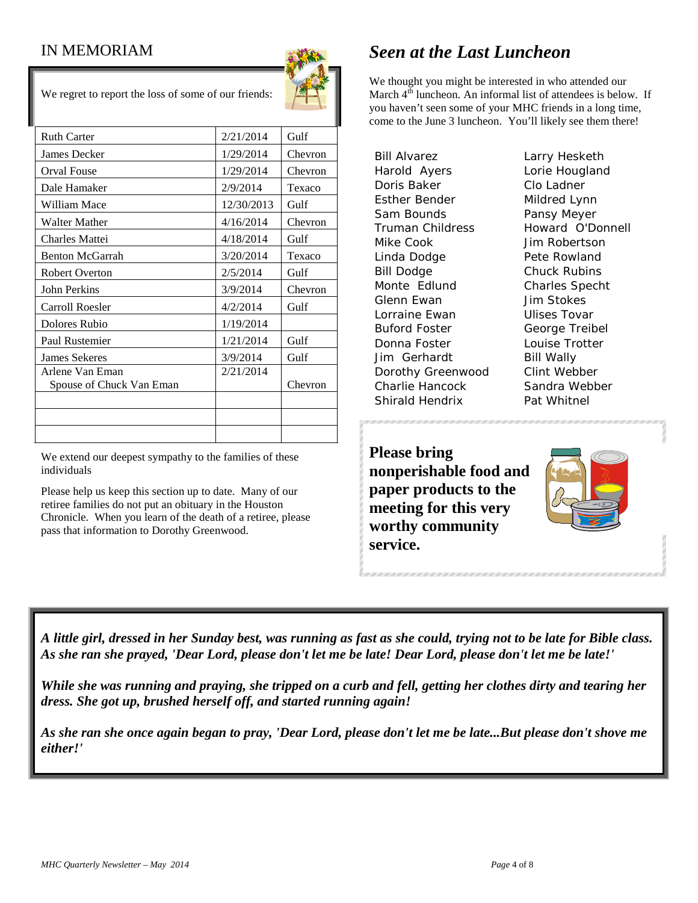## IN MEMORIAM



We regret to report the loss of some of our friends:

| <b>Ruth Carter</b>                          | 2/21/2014  | Gulf    |
|---------------------------------------------|------------|---------|
| James Decker                                | 1/29/2014  | Chevron |
| Orval Fouse                                 | 1/29/2014  | Chevron |
| Dale Hamaker                                | 2/9/2014   | Texaco  |
| William Mace                                | 12/30/2013 | Gulf    |
| <b>Walter Mather</b>                        | 4/16/2014  | Chevron |
| <b>Charles Mattei</b>                       | 4/18/2014  | Gulf    |
| <b>Benton McGarrah</b>                      | 3/20/2014  | Texaco  |
| <b>Robert Overton</b>                       | 2/5/2014   | Gulf    |
| <b>John Perkins</b>                         | 3/9/2014   | Chevron |
| Carroll Roesler                             | 4/2/2014   | Gulf    |
| Dolores Rubio                               | 1/19/2014  |         |
| Paul Rustemier                              | 1/21/2014  | Gulf    |
| <b>James Sekeres</b>                        | 3/9/2014   | Gulf    |
| Arlene Van Eman<br>Spouse of Chuck Van Eman | 2/21/2014  | Chevron |
|                                             |            |         |
|                                             |            |         |
|                                             |            |         |

We extend our deepest sympathy to the families of these individuals

Please help us keep this section up to date. Many of our retiree families do not put an obituary in the Houston Chronicle. When you learn of the death of a retiree, please pass that information to Dorothy Greenwood.

# *Seen at the Last Luncheon*

We thought you might be interested in who attended our March 4<sup>th</sup> luncheon. An informal list of attendees is below. If you haven't seen some of your MHC friends in a long time, come to the June 3 luncheon. You'll likely see them there!

Bill Alvarez Larry Hesketh Harold Ayers Lorie Hougland Doris Baker Clo Ladner Esther Bender Mildred Lynn Sam Bounds **Pansy Meyer** Truman Childress Howard O'Donnell Mike Cook Jim Robertson Linda Dodge **Pete Rowland** Bill Dodge Chuck Rubins Monte Edlund Charles Specht Glenn Ewan Jim Stokes Lorraine Ewan Ulises Tovar Buford Foster George Treibel Donna Foster **Louise Trotter** Jim Gerhardt Bill Wally Dorothy Greenwood Clint Webber Charlie Hancock Sandra Webber Shirald Hendrix Pat Whitnel

**Please bring nonperishable food and paper products to the meeting for this very worthy community service.**



*A little girl, dressed in her Sunday best, was running as fast as she could, trying not to be late for Bible class. As she ran she prayed, 'Dear Lord, please don't let me be late! Dear Lord, please don't let me be late!'* 

*While she was running and praying, she tripped on a curb and fell, getting her clothes dirty and tearing her dress. She got up, brushed herself off, and started running again!* 

*As she ran she once again began to pray, 'Dear Lord, please don't let me be late...But please don't shove me either!'*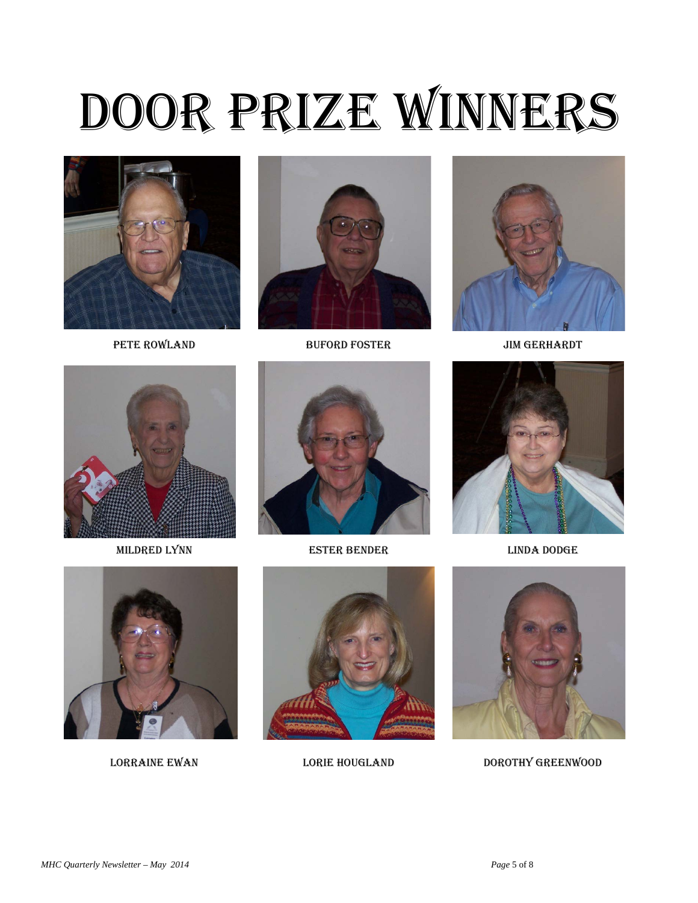# Door Prize Winners





PETE ROWLAND BUFORD FOSTER JIM GERHARDT







Mildred Lynn Ester Bender Linda Dodge









LORRAINE EWAN LORIE HOUGLAND DOROTHY GREENWOOD